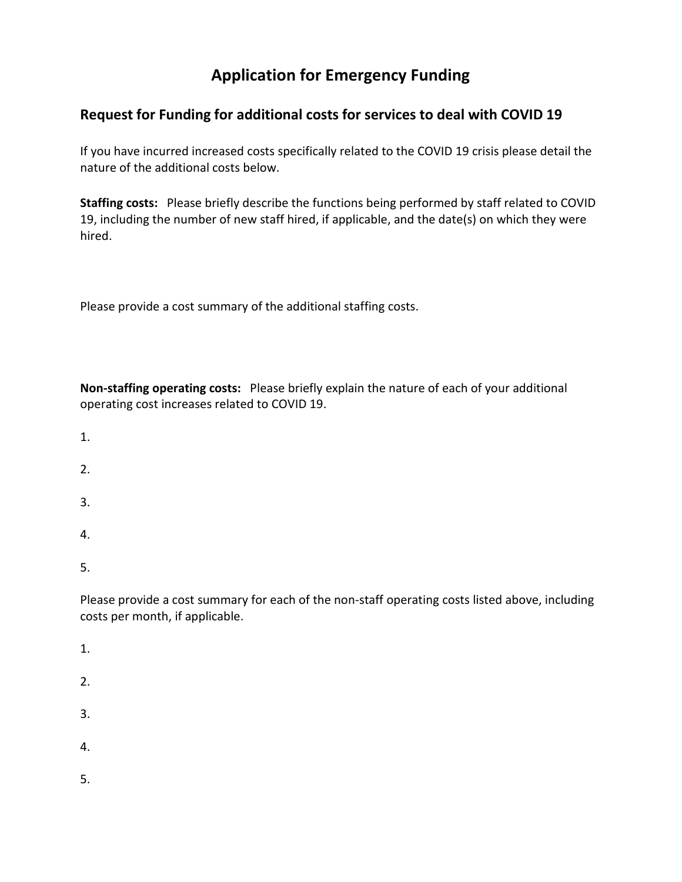# **Application for Emergency Funding**

### **Request for Funding for additional costs for services to deal with COVID 19**

If you have incurred increased costs specifically related to the COVID 19 crisis please detail the nature of the additional costs below.

**Staffing costs:** Please briefly describe the functions being performed by staff related to COVID 19, including the number of new staff hired, if applicable, and the date(s) on which they were hired.

Please provide a cost summary of the additional staffing costs.

**Non-staffing operating costs:** Please briefly explain the nature of each of your additional operating cost increases related to COVID 19.

- 1.
- 
- 2.
- 3.
- 4.

5.

Please provide a cost summary for each of the non-staff operating costs listed above, including costs per month, if applicable.

- 1.
- 2.
- 3.
- 4.
- 5.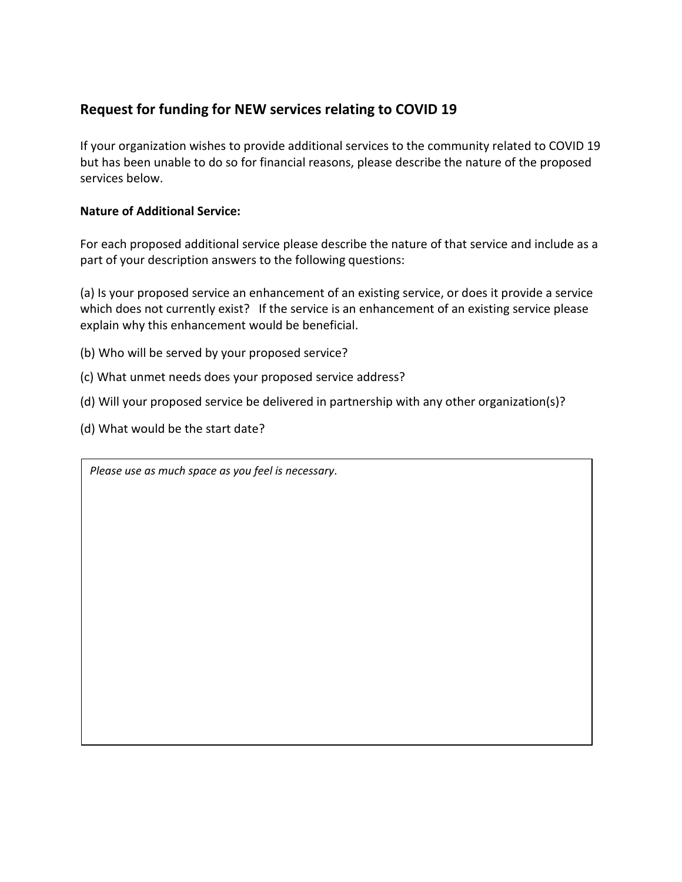# **Request for funding for NEW services relating to COVID 19**

If your organization wishes to provide additional services to the community related to COVID 19 but has been unable to do so for financial reasons, please describe the nature of the proposed services below.

#### **Nature of Additional Service:**

For each proposed additional service please describe the nature of that service and include as a part of your description answers to the following questions:

(a) Is your proposed service an enhancement of an existing service, or does it provide a service which does not currently exist? If the service is an enhancement of an existing service please explain why this enhancement would be beneficial.

- (b) Who will be served by your proposed service?
- (c) What unmet needs does your proposed service address?
- (d) Will your proposed service be delivered in partnership with any other organization(s)?
- (d) What would be the start date?

*Please use as much space as you feel is necessary*.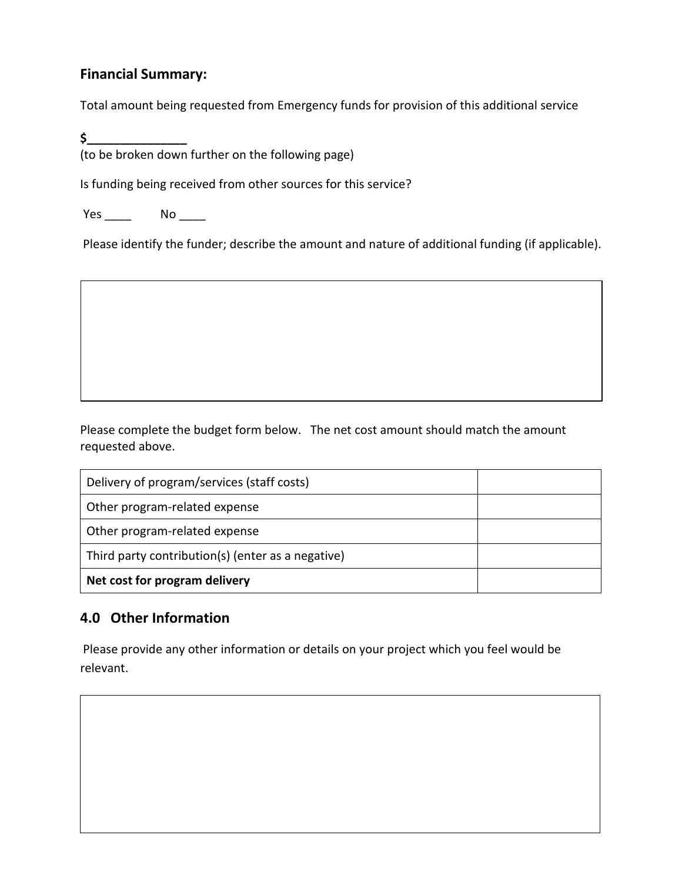### **Financial Summary:**

Total amount being requested from Emergency funds for provision of this additional service

**\$\_\_\_\_\_\_\_\_\_\_\_\_\_\_\_**

(to be broken down further on the following page)

Is funding being received from other sources for this service?

Yes No

Please identify the funder; describe the amount and nature of additional funding (if applicable).

Please complete the budget form below. The net cost amount should match the amount requested above.

| Delivery of program/services (staff costs)        |  |
|---------------------------------------------------|--|
| Other program-related expense                     |  |
| Other program-related expense                     |  |
| Third party contribution(s) (enter as a negative) |  |
| Net cost for program delivery                     |  |

# **4.0 Other Information**

Please provide any other information or details on your project which you feel would be relevant.